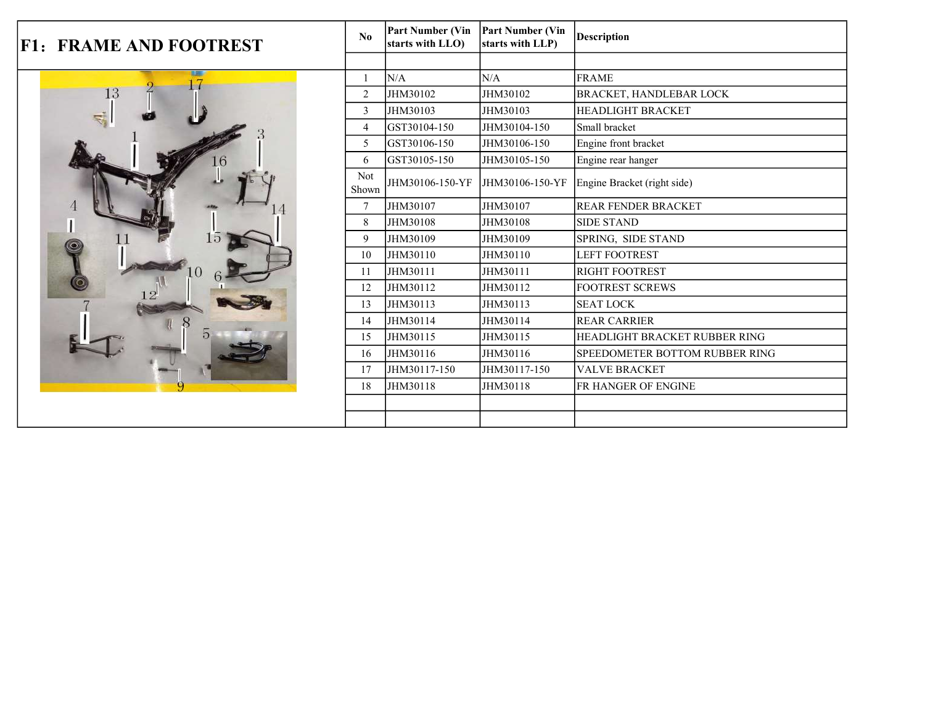|  | <b>F1: FRAME AND FOOTREST</b> | No             | <b>Part Number (Vin</b><br>starts with LLO) | <b>Part Number (Vin</b><br>starts with LLP) | <b>Description</b>             |
|--|-------------------------------|----------------|---------------------------------------------|---------------------------------------------|--------------------------------|
|  |                               |                |                                             |                                             |                                |
|  | us.                           |                | N/A                                         | N/A                                         | <b>FRAME</b>                   |
|  | 13                            | $\overline{2}$ | JHM30102                                    | JHM30102                                    | <b>BRACKET, HANDLEBAR LOCK</b> |
|  |                               | 3              | JHM30103                                    | JHM30103                                    | <b>HEADLIGHT BRACKET</b>       |
|  |                               | $\overline{4}$ | GST30104-150                                | JHM30104-150                                | Small bracket                  |
|  |                               | 5              | GST30106-150                                | JHM30106-150                                | Engine front bracket           |
|  | $\overline{6}$                | 6              | GST30105-150                                | JHM30105-150                                | Engine rear hanger             |
|  |                               | Not<br>Shown   | JHM30106-150-YF                             | JHM30106-150-YF                             | Engine Bracket (right side)    |
|  |                               | $\overline{7}$ | JHM30107                                    | JHM30107                                    | <b>REAR FENDER BRACKET</b>     |
|  |                               | 8              | JHM30108                                    | JHM30108                                    | <b>SIDE STAND</b>              |
|  |                               | 9              | JHM30109                                    | JHM30109                                    | SPRING, SIDE STAND             |
|  |                               | 10             | JHM30110                                    | JHM30110                                    | LEFT FOOTREST                  |
|  |                               | 11             | JHM30111                                    | JHM30111                                    | <b>RIGHT FOOTREST</b>          |
|  |                               | 12             | JHM30112                                    | JHM30112                                    | <b>FOOTREST SCREWS</b>         |
|  |                               | 13             | JHM30113                                    | JHM30113                                    | <b>SEAT LOCK</b>               |
|  |                               | 14             | JHM30114                                    | JHM30114                                    | <b>REAR CARRIER</b>            |
|  |                               | 15             | JHM30115                                    | JHM30115                                    | HEADLIGHT BRACKET RUBBER RING  |
|  |                               | 16             | JHM30116                                    | JHM30116                                    | SPEEDOMETER BOTTOM RUBBER RING |
|  |                               | 17             | JHM30117-150                                | JHM30117-150                                | <b>VALVE BRACKET</b>           |
|  |                               | 18             | JHM30118                                    | JHM30118                                    | FR HANGER OF ENGINE            |
|  |                               |                |                                             |                                             |                                |
|  |                               |                |                                             |                                             |                                |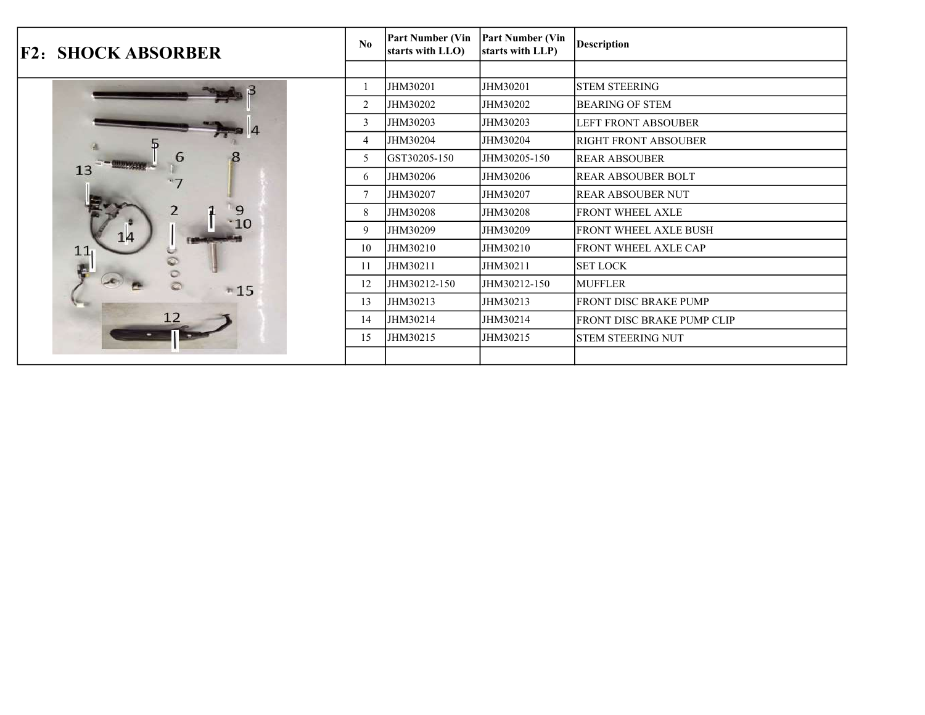| <b>F2: SHOCK ABSORBER</b> | N <sub>0</sub> | <b>Part Number (Vin</b><br>starts with LLO) | <b>Part Number (Vin</b><br>starts with LLP) | <b>Description</b>          |
|---------------------------|----------------|---------------------------------------------|---------------------------------------------|-----------------------------|
|                           |                |                                             |                                             |                             |
|                           |                | JHM30201                                    | JHM30201                                    | <b>STEM STEERING</b>        |
|                           | $\overline{2}$ | JHM30202                                    | JHM30202                                    | <b>BEARING OF STEM</b>      |
|                           | 3              | JHM30203                                    | JHM30203                                    | <b>LEFT FRONT ABSOUBER</b>  |
|                           | 4              | JHM30204                                    | JHM30204                                    | <b>RIGHT FRONT ABSOUBER</b> |
| 6                         | 5              | GST30205-150                                | JHM30205-150                                | REAR ABSOUBER               |
| 13                        | 6              | JHM30206                                    | JHM30206                                    | <b>REAR ABSOUBER BOLT</b>   |
|                           | $\overline{7}$ | JHM30207                                    | JHM30207                                    | <b>REAR ABSOUBER NUT</b>    |
| 9                         | 8              | JHM30208                                    | JHM30208                                    | <b>FRONT WHEEL AXLE</b>     |
| $\cdot$ 10<br>14          | 9              | JHM30209                                    | JHM30209                                    | FRONT WHEEL AXLE BUSH       |
| 11                        | 10             | JHM30210                                    | JHM30210                                    | FRONT WHEEL AXLE CAP        |
|                           | 11             | JHM30211                                    | JHM30211                                    | <b>SET LOCK</b>             |
| $-15$                     | 12             | JHM30212-150                                | JHM30212-150                                | <b>MUFFLER</b>              |
|                           | 13             | JHM30213                                    | JHM30213                                    | FRONT DISC BRAKE PUMP       |
|                           | 14             | JHM30214                                    | JHM30214                                    | FRONT DISC BRAKE PUMP CLIP  |
|                           | 15             | JHM30215                                    | JHM30215                                    | <b>STEM STEERING NUT</b>    |
|                           |                |                                             |                                             |                             |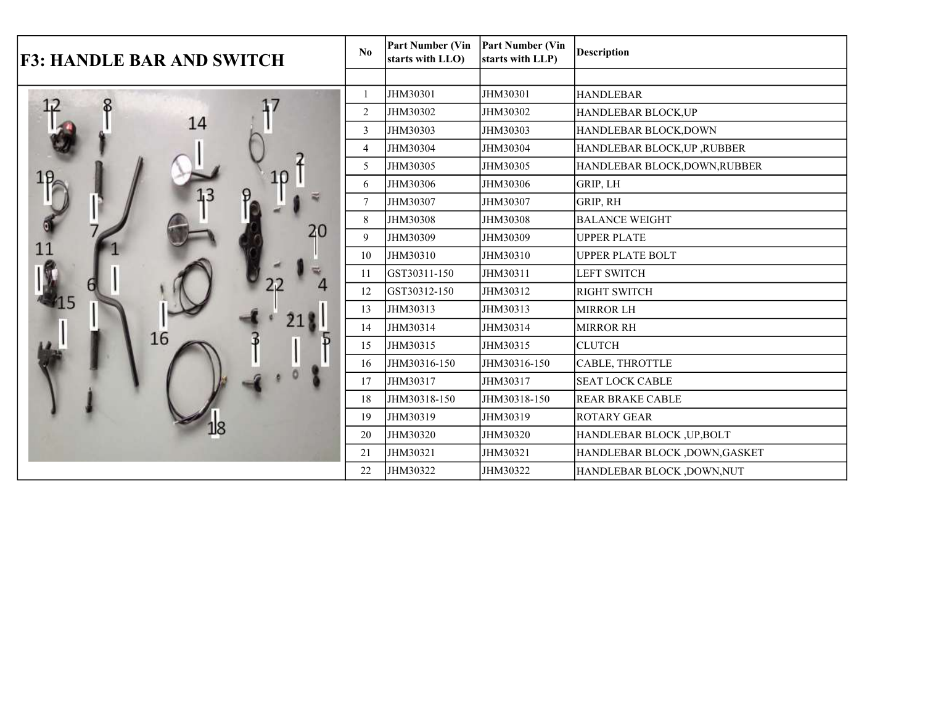| <b>F3: HANDLE BAR AND SWITCH</b> |        | <b>Part Number (Vin</b><br>starts with LLO) | <b>Part Number (Vin</b><br>starts with LLP) | <b>Description</b>            |
|----------------------------------|--------|---------------------------------------------|---------------------------------------------|-------------------------------|
|                                  |        |                                             |                                             |                               |
|                                  |        | JHM30301                                    | JHM30301                                    | <b>HANDLEBAR</b>              |
|                                  | 2      | JHM30302                                    | JHM30302                                    | HANDLEBAR BLOCK,UP            |
| 14                               | 3      | JHM30303                                    | JHM30303                                    | HANDLEBAR BLOCK, DOWN         |
|                                  | 4      | JHM30304                                    | JHM30304                                    | HANDLEBAR BLOCK, UP, RUBBER   |
|                                  | 5      | JHM30305                                    | JHM30305                                    | HANDLEBAR BLOCK, DOWN, RUBBER |
| 10                               | 6      | JHM30306                                    | JHM30306                                    | GRIP, LH                      |
|                                  | $\tau$ | JHM30307                                    | JHM30307                                    | GRIP, RH                      |
|                                  | 8      | JHM30308                                    | JHM30308                                    | <b>BALANCE WEIGHT</b>         |
| 11                               | 9      | JHM30309                                    | JHM30309                                    | <b>UPPER PLATE</b>            |
|                                  | 10     | JHM30310                                    | JHM30310                                    | <b>UPPER PLATE BOLT</b>       |
|                                  | 11     | GST30311-150                                | JHM30311                                    | <b>LEFT SWITCH</b>            |
|                                  | 12     | GST30312-150                                | JHM30312                                    | <b>RIGHT SWITCH</b>           |
|                                  | 13     | JHM30313                                    | JHM30313                                    | <b>MIRROR LH</b>              |
|                                  | 14     | JHM30314                                    | JHM30314                                    | <b>MIRROR RH</b>              |
| 16                               | 15     | JHM30315                                    | JHM30315                                    | <b>CLUTCH</b>                 |
|                                  | 16     | JHM30316-150                                | JHM30316-150                                | CABLE, THROTTLE               |
|                                  | 17     | JHM30317                                    | JHM30317                                    | <b>SEAT LOCK CABLE</b>        |
|                                  | 18     | JHM30318-150                                | JHM30318-150                                | <b>REAR BRAKE CABLE</b>       |
|                                  | 19     | JHM30319                                    | JHM30319                                    | <b>ROTARY GEAR</b>            |
|                                  | 20     | JHM30320                                    | JHM30320                                    | HANDLEBAR BLOCK, UP, BOLT     |
|                                  | 21     | JHM30321                                    | JHM30321                                    | HANDLEBAR BLOCK ,DOWN,GASKET  |
|                                  | 22     | JHM30322                                    | JHM30322                                    | HANDLEBAR BLOCK ,DOWN,NUT     |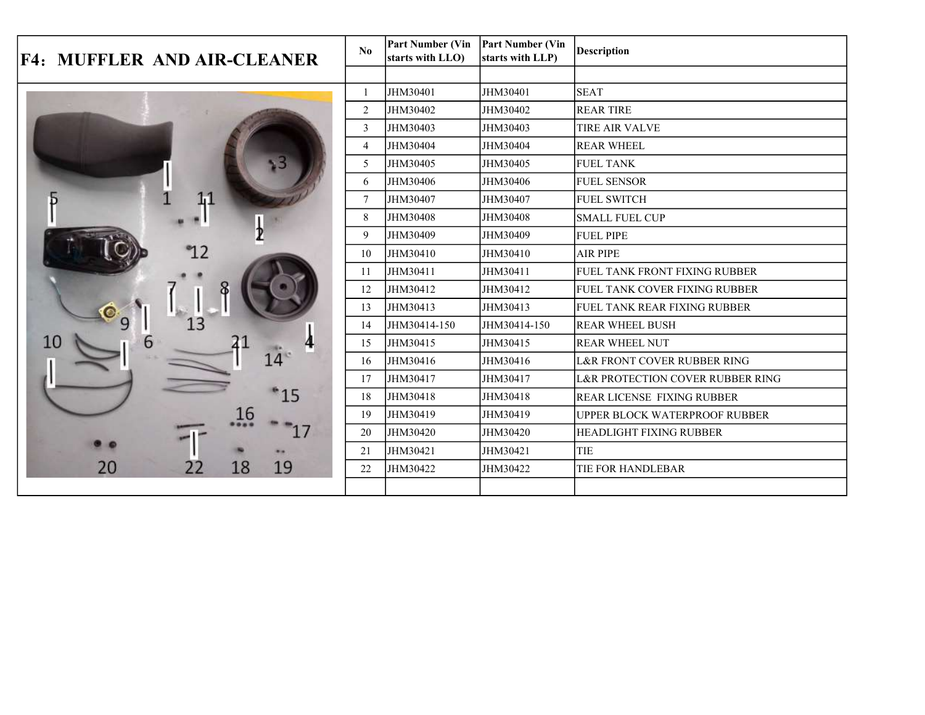| <b>F4: MUFFLER AND AIR-CLEANER</b> |        | <b>Part Number (Vin</b><br>starts with LLO) | <b>Part Number (Vin</b><br>starts with LLP) | <b>Description</b>                     |
|------------------------------------|--------|---------------------------------------------|---------------------------------------------|----------------------------------------|
|                                    |        |                                             |                                             |                                        |
|                                    |        | JHM30401                                    | JHM30401                                    | <b>SEAT</b>                            |
|                                    | 2      | JHM30402                                    | JHM30402                                    | <b>REAR TIRE</b>                       |
|                                    |        | JHM30403                                    | JHM30403                                    | <b>TIRE AIR VALVE</b>                  |
|                                    |        | JHM30404                                    | JHM30404                                    | <b>REAR WHEEL</b>                      |
|                                    | 5      | JHM30405                                    | JHM30405                                    | <b>FUEL TANK</b>                       |
|                                    | 6      | JHM30406                                    | JHM30406                                    | <b>FUEL SENSOR</b>                     |
| 1,1                                | $\tau$ | JHM30407                                    | JHM30407                                    | <b>FUEL SWITCH</b>                     |
|                                    | 8      | JHM30408                                    | JHM30408                                    | <b>SMALL FUEL CUP</b>                  |
|                                    | 9      | JHM30409                                    | JHM30409                                    | <b>FUEL PIPE</b>                       |
|                                    | 10     | JHM30410                                    | JHM30410                                    | <b>AIR PIPE</b>                        |
|                                    | 11     | JHM30411                                    | JHM30411                                    | FUEL TANK FRONT FIXING RUBBER          |
|                                    | 12     | JHM30412                                    | JHM30412                                    | <b>FUEL TANK COVER FIXING RUBBER</b>   |
|                                    | 13     | JHM30413                                    | JHM30413                                    | <b>FUEL TANK REAR FIXING RUBBER</b>    |
|                                    | 14     | JHM30414-150                                | JHM30414-150                                | <b>REAR WHEEL BUSH</b>                 |
| 6                                  | 15     | JHM30415                                    | JHM30415                                    | <b>REAR WHEEL NUT</b>                  |
| 14 <sup>°</sup>                    | 16     | JHM30416                                    | JHM30416                                    | <b>L&amp;R FRONT COVER RUBBER RING</b> |
|                                    | 17     | JHM30417                                    | JHM30417                                    | L&R PROTECTION COVER RUBBER RING       |
| 15                                 | 18     | JHM30418                                    | JHM30418                                    | <b>REAR LICENSE FIXING RUBBER</b>      |
| 16                                 | 19     | JHM30419                                    | JHM30419                                    | UPPER BLOCK WATERPROOF RUBBER          |
|                                    | 20     | JHM30420                                    | JHM30420                                    | <b>HEADLIGHT FIXING RUBBER</b>         |
|                                    | 21     | JHM30421                                    | JHM30421                                    | TIE                                    |
| 19<br>18<br>20                     | 22     | JHM30422                                    | JHM30422                                    | TIE FOR HANDLEBAR                      |
|                                    |        |                                             |                                             |                                        |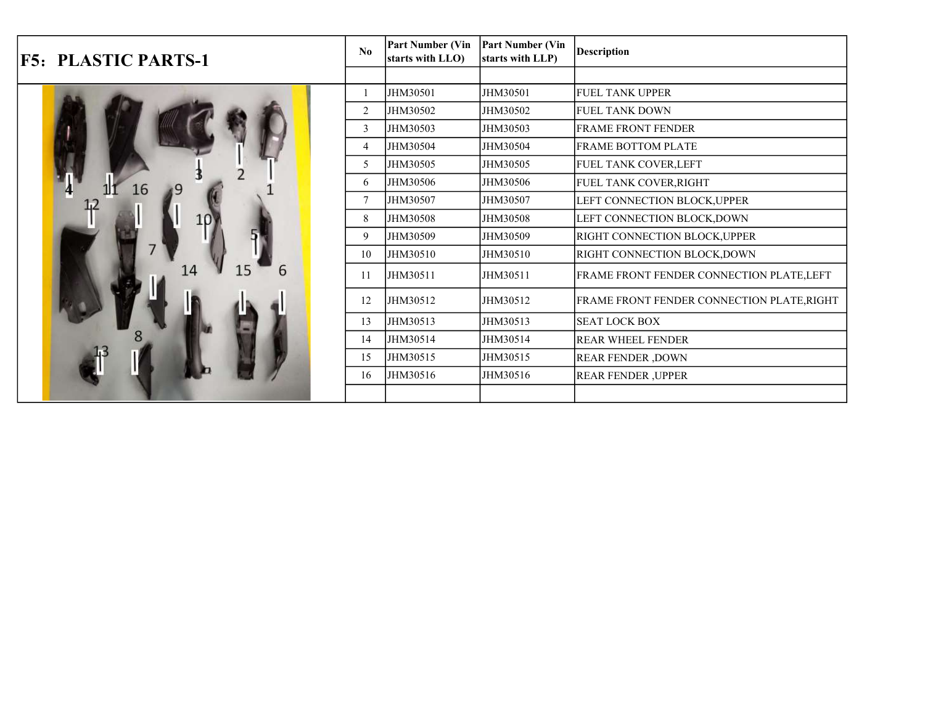| <b>F5: PLASTIC PARTS-1</b> | No             | <b>Part Number (Vin</b><br>starts with LLO) | <b>Part Number (Vin</b><br>starts with LLP) | <b>Description</b>                         |
|----------------------------|----------------|---------------------------------------------|---------------------------------------------|--------------------------------------------|
|                            |                |                                             |                                             |                                            |
|                            |                | JHM30501                                    | JHM30501                                    | <b>FUEL TANK UPPER</b>                     |
|                            | $\overline{2}$ | JHM30502                                    | JHM30502                                    | <b>FUEL TANK DOWN</b>                      |
|                            | 3              | JHM30503                                    | JHM30503                                    | <b>FRAME FRONT FENDER</b>                  |
|                            | 4              | JHM30504                                    | JHM30504                                    | <b>FRAME BOTTOM PLATE</b>                  |
|                            | 5              | JHM30505                                    | JHM30505                                    | FUEL TANK COVER, LEFT                      |
| 16                         | 6              | JHM30506                                    | JHM30506                                    | FUEL TANK COVER, RIGHT                     |
|                            |                | JHM30507                                    | JHM30507                                    | LEFT CONNECTION BLOCK, UPPER               |
|                            | 8              | JHM30508                                    | JHM30508                                    | LEFT CONNECTION BLOCK, DOWN                |
|                            | 9              | JHM30509                                    | JHM30509                                    | RIGHT CONNECTION BLOCK, UPPER              |
|                            | 10             | JHM30510                                    | JHM30510                                    | RIGHT CONNECTION BLOCK, DOWN               |
| 6                          | 11             | JHM30511                                    | JHM30511                                    | FRAME FRONT FENDER CONNECTION PLATE, LEFT  |
|                            | 12             | JHM30512                                    | JHM30512                                    | FRAME FRONT FENDER CONNECTION PLATE, RIGHT |
|                            | 13             | JHM30513                                    | JHM30513                                    | <b>SEAT LOCK BOX</b>                       |
|                            | 14             | JHM30514                                    | JHM30514                                    | <b>REAR WHEEL FENDER</b>                   |
|                            | 15             | JHM30515                                    | JHM30515                                    | <b>REAR FENDER, DOWN</b>                   |
|                            | 16             | JHM30516                                    | JHM30516                                    | <b>REAR FENDER, UPPER</b>                  |
|                            |                |                                             |                                             |                                            |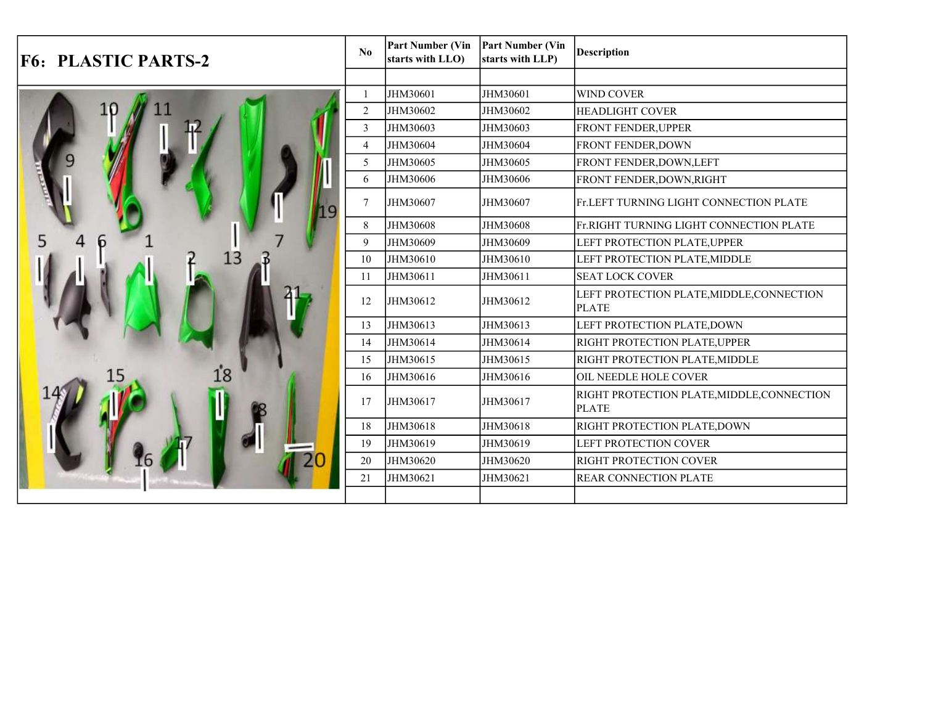| <b>F6: PLASTIC PARTS-2</b> | N <sub>0</sub> | <b>Part Number (Vin</b><br>starts with LLO) | <b>Part Number (Vin</b><br>starts with LLP) | <b>Description</b>                                         |
|----------------------------|----------------|---------------------------------------------|---------------------------------------------|------------------------------------------------------------|
|                            |                |                                             |                                             |                                                            |
|                            |                | JHM30601                                    | JHM30601                                    | <b>WIND COVER</b>                                          |
|                            | $\overline{2}$ | JHM30602                                    | JHM30602                                    | <b>HEADLIGHT COVER</b>                                     |
|                            | 3              | JHM30603                                    | JHM30603                                    | FRONT FENDER, UPPER                                        |
|                            | $\overline{4}$ | JHM30604                                    | JHM30604                                    | FRONT FENDER, DOWN                                         |
|                            | 5              | JHM30605                                    | JHM30605                                    | FRONT FENDER, DOWN, LEFT                                   |
|                            | 6              | JHM30606                                    | JHM30606                                    | FRONT FENDER, DOWN, RIGHT                                  |
|                            | 7              | JHM30607                                    | JHM30607                                    | Fr.LEFT TURNING LIGHT CONNECTION PLATE                     |
|                            | 8              | JHM30608                                    | JHM30608                                    | Fr.RIGHT TURNING LIGHT CONNECTION PLATE                    |
|                            | 9              | JHM30609                                    | JHM30609                                    | LEFT PROTECTION PLATE, UPPER                               |
|                            | 10             | JHM30610                                    | JHM30610                                    | LEFT PROTECTION PLATE, MIDDLE                              |
|                            | 11             | JHM30611                                    | JHM30611                                    | <b>SEAT LOCK COVER</b>                                     |
|                            | 12             | JHM30612                                    | JHM30612                                    | LEFT PROTECTION PLATE, MIDDLE, CONNECTION<br><b>PLATE</b>  |
|                            | 13             | JHM30613                                    | JHM30613                                    | LEFT PROTECTION PLATE, DOWN                                |
|                            | 14             | JHM30614                                    | JHM30614                                    | <b>RIGHT PROTECTION PLATE, UPPER</b>                       |
|                            | 15             | JHM30615                                    | JHM30615                                    | RIGHT PROTECTION PLATE, MIDDLE                             |
|                            | 16             | JHM30616                                    | JHM30616                                    | OIL NEEDLE HOLE COVER                                      |
|                            | 17             | JHM30617                                    | JHM30617                                    | RIGHT PROTECTION PLATE, MIDDLE, CONNECTION<br><b>PLATE</b> |
|                            | 18             | JHM30618                                    | JHM30618                                    | RIGHT PROTECTION PLATE, DOWN                               |
|                            | 19             | JHM30619                                    | JHM30619                                    | <b>LEFT PROTECTION COVER</b>                               |
|                            | 20             | JHM30620                                    | JHM30620                                    | RIGHT PROTECTION COVER                                     |
|                            | 21             | JHM30621                                    | JHM30621                                    | <b>REAR CONNECTION PLATE</b>                               |
|                            |                |                                             |                                             |                                                            |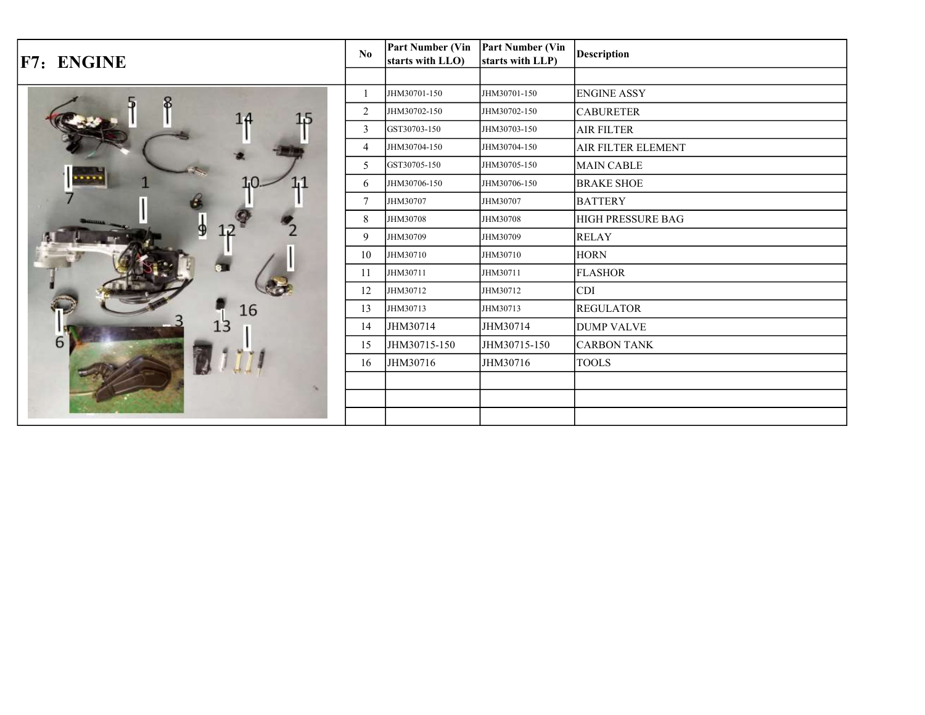| F7: ENGINE | $\mathbf{N}\mathbf{0}$ | <b>Part Number (Vin</b><br>starts with LLO) | <b>Part Number (Vin</b><br>starts with LLP) | <b>Description</b>        |
|------------|------------------------|---------------------------------------------|---------------------------------------------|---------------------------|
|            |                        |                                             |                                             |                           |
|            |                        | JHM30701-150                                | JHM30701-150                                | <b>ENGINE ASSY</b>        |
| 1,5        | $\overline{2}$         | JHM30702-150                                | JHM30702-150                                | <b>CABURETER</b>          |
|            | 3                      | GST30703-150                                | JHM30703-150                                | <b>AIR FILTER</b>         |
|            | $\overline{4}$         | JHM30704-150                                | JHM30704-150                                | <b>AIR FILTER ELEMENT</b> |
|            | 5                      | GST30705-150                                | JHM30705-150                                | MAIN CABLE                |
|            | 6                      | JHM30706-150                                | JHM30706-150                                | <b>BRAKE SHOE</b>         |
|            | $\overline{7}$         | JHM30707                                    | JHM30707                                    | <b>BATTERY</b>            |
|            | 8                      | JHM30708                                    | JHM30708                                    | <b>HIGH PRESSURE BAG</b>  |
|            | 9                      | JHM30709                                    | JHM30709                                    | <b>RELAY</b>              |
|            | 10                     | JHM30710                                    | JHM30710                                    | <b>HORN</b>               |
|            | 11                     | JHM30711                                    | JHM30711                                    | <b>FLASHOR</b>            |
|            | 12                     | JHM30712                                    | JHM30712                                    | <b>CDI</b>                |
| 16         | 13                     | JHM30713                                    | JHM30713                                    | <b>REGULATOR</b>          |
|            | 14                     | JHM30714                                    | JHM30714                                    | <b>DUMP VALVE</b>         |
| 6          | 15                     | JHM30715-150                                | JHM30715-150                                | <b>CARBON TANK</b>        |
|            | 16                     | JHM30716                                    | JHM30716                                    | <b>TOOLS</b>              |
|            |                        |                                             |                                             |                           |
|            |                        |                                             |                                             |                           |
|            |                        |                                             |                                             |                           |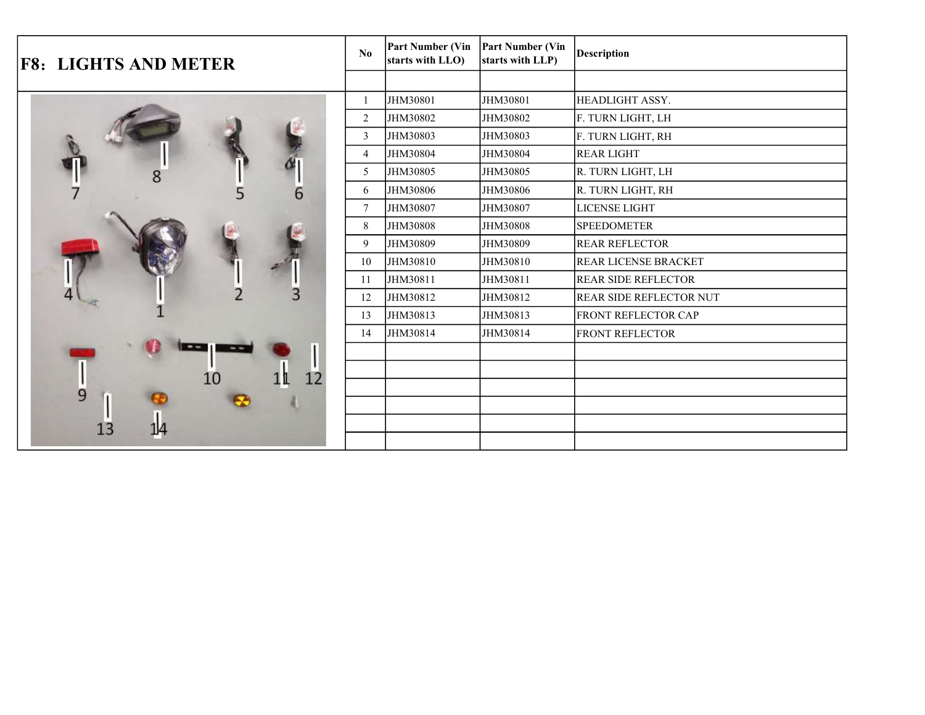| <b>F8: LIGHTS AND METER</b> | No.            | <b>Part Number (Vin</b><br>starts with LLO) | <b>Part Number (Vin</b><br>starts with LLP) | <b>Description</b>             |
|-----------------------------|----------------|---------------------------------------------|---------------------------------------------|--------------------------------|
|                             |                |                                             |                                             |                                |
|                             |                | JHM30801                                    | JHM30801                                    | HEADLIGHT ASSY.                |
|                             | 2              | JHM30802                                    | JHM30802                                    | F. TURN LIGHT, LH              |
|                             | 3              | JHM30803                                    | JHM30803                                    | F. TURN LIGHT, RH              |
|                             | $\overline{4}$ | JHM30804                                    | JHM30804                                    | <b>REAR LIGHT</b>              |
|                             | 5              | JHM30805                                    | JHM30805                                    | R. TURN LIGHT, LH              |
|                             | 6<br>6         | JHM30806                                    | JHM30806                                    | R. TURN LIGHT, RH              |
|                             | $\tau$         | JHM30807                                    | JHM30807                                    | LICENSE LIGHT                  |
|                             | 8              | JHM30808                                    | JHM30808                                    | <b>SPEEDOMETER</b>             |
|                             | 9              | JHM30809                                    | JHM30809                                    | <b>REAR REFLECTOR</b>          |
|                             | 10             | JHM30810                                    | JHM30810                                    | <b>REAR LICENSE BRACKET</b>    |
|                             | 11             | JHM30811                                    | JHM30811                                    | <b>REAR SIDE REFLECTOR</b>     |
|                             | 12             | JHM30812                                    | JHM30812                                    | <b>REAR SIDE REFLECTOR NUT</b> |
|                             | 13             | JHM30813                                    | JHM30813                                    | <b>FRONT REFLECTOR CAP</b>     |
|                             | 14             | JHM30814                                    | JHM30814                                    | <b>FRONT REFLECTOR</b>         |
|                             |                |                                             |                                             |                                |
|                             | 12             |                                             |                                             |                                |
| 9                           |                |                                             |                                             |                                |
|                             |                |                                             |                                             |                                |
|                             |                |                                             |                                             |                                |
|                             |                |                                             |                                             |                                |